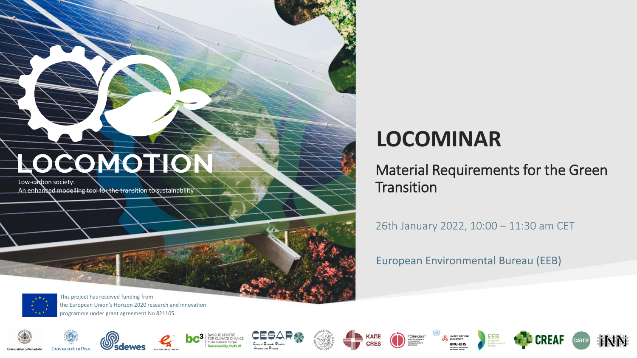Low-carbon society: An enhanced modelling tool for the transition to sustainability

### **LOCOMINAR**

Material Requirements for the Green **Transition** 

26th January 2022, 10:00 – 11:30 am CET

European Environmental Bureau (EEB)



This project has received funding from the European Union's Horizon 2020 research and innovation programme under grant agreement No 821105.

















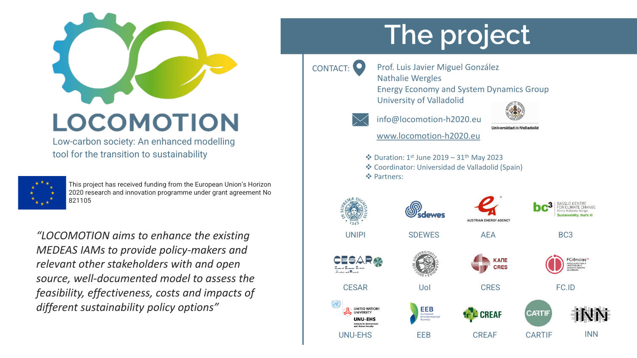

Low-carbon society: An enhanced modelling tool for the transition to sustainability



This project has received funding from the European Union's Horizon 2020 research and innovation programme under grant agreement No 821105

*"LOCOMOTION aims to enhance the existing MEDEAS IAMs to provide policy-makers and relevant other stakeholders with and open source, well-documented model to assess the feasibility, effectiveness, costs and impacts of different sustainability policy options"*

# The project

- 
- CONTACT: Prof. Luis Javier Miguel González Nathalie Wergles
	- Energy Economy and System Dynamics Group University of Valladolid



**Universidad deValladolid** 

info@locomotion-h2020.eu

www.locomotion-h2020.eu

- ❖ Duration: 1st June 2019 31th May 2023
- ❖ Coordinator: Universidad de Valladolid (Spain) ❖ Partners:

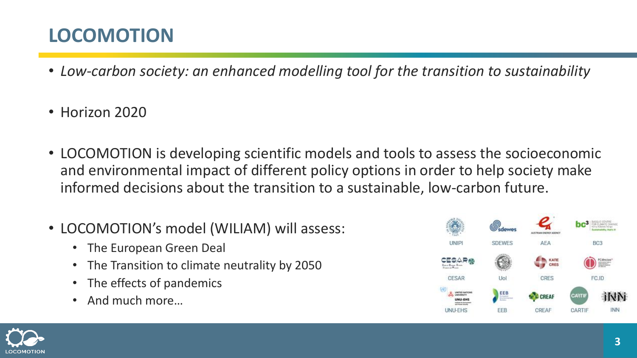- *Low-carbon society: an enhanced modelling tool for the transition to sustainability*
- Horizon 2020
- LOCOMOTION is developing scientific models and tools to assess the socioeconomic and environmental impact of different policy options in order to help society make informed decisions about the transition to a sustainable, low-carbon future.
- LOCOMOTION's model (WILIAM) will assess:
	- The European Green Deal
	- The Transition to climate neutrality by 2050
	- The effects of pandemics
	- And much more…



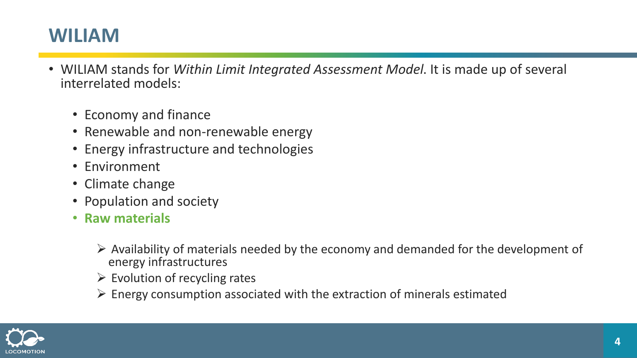#### **WILIAM**

- WILIAM stands for *Within Limit Integrated Assessment Model*. It is made up of several interrelated models:
	- Economy and finance
	- Renewable and non-renewable energy
	- Energy infrastructure and technologies
	- Environment
	- Climate change
	- Population and society
	- **Raw materials**
		- $\triangleright$  Availability of materials needed by the economy and demanded for the development of energy infrastructures
		- $\triangleright$  Evolution of recycling rates
		- $\triangleright$  Energy consumption associated with the extraction of minerals estimated

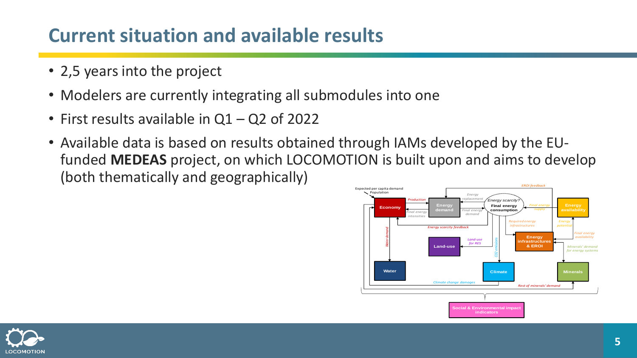#### **Current situation and available results**

- 2,5 years into the project
- Modelers are currently integrating all submodules into one
- First results available in Q1 Q2 of 2022
- Available data is based on results obtained through IAMs developed by the EUfunded **MEDEAS** project, on which LOCOMOTION is built upon and aims to develop (both thematically and geographically) **EROI** feedb



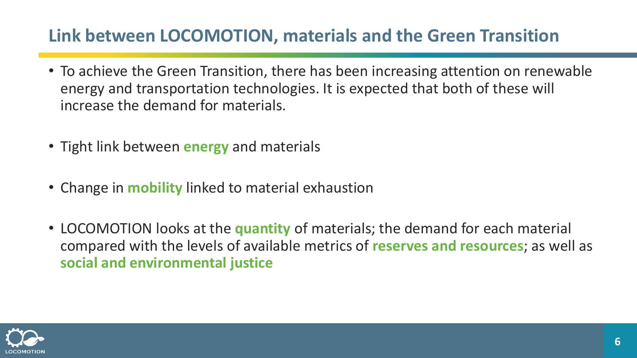#### **Link between LOCOMOTION, materials and the Green Transition**

- To achieve the Green Transition, there has been increasing attention on renewable energy and transportation technologies. It is expected that both of these will increase the demand for materials.
- Tight link between **energy** and materials
- Change in **mobility** linked to material exhaustion
- LOCOMOTION looks at the **quantity** of materials; the demand for each material compared with the levels of available metrics of **reserves and resources**; as well as **social and environmental justice**

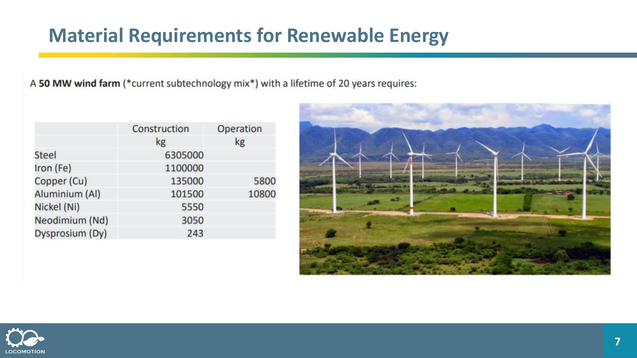#### **Material Requirements for Renewable Energy**

A 50 MW wind farm (\*current subtechnology mix\*) with a lifetime of 20 years requires:

|                 | Construction | Operation |
|-----------------|--------------|-----------|
|                 | kg           | kg        |
| <b>Steel</b>    | 6305000      |           |
| Iron (Fe)       | 1100000      |           |
| Copper (Cu)     | 135000       | 5800      |
| Aluminium (Al)  | 101500       | 10800     |
| Nickel (Ni)     | 5550         |           |
| Neodimium (Nd)  | 3050         |           |
| Dysprosium (Dy) | 243          |           |



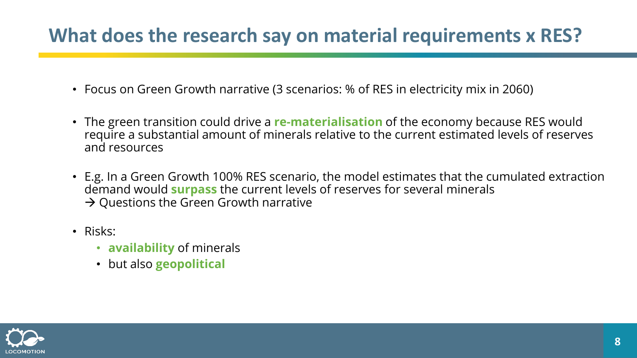#### **What does the research say on material requirements x RES?**

- Focus on Green Growth narrative (3 scenarios: % of RES in electricity mix in 2060)
- The green transition could drive a **re-materialisation** of the economy because RES would require a substantial amount of minerals relative to the current estimated levels of reserves and resources
- E.g. In a Green Growth 100% RES scenario, the model estimates that the cumulated extraction demand would **surpass** the current levels of reserves for several minerals  $\rightarrow$  Questions the Green Growth narrative
- Risks:
	- **availability** of minerals
	- but also **geopolitical**

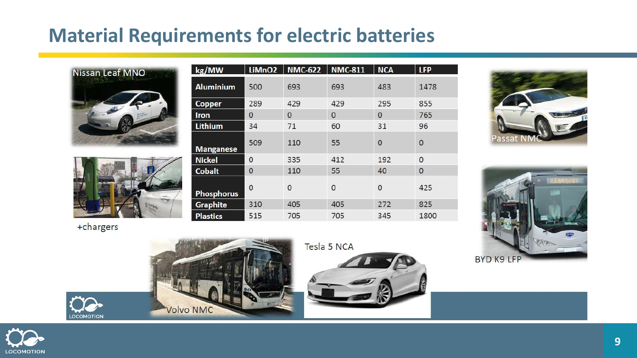#### **Material Requirements for electric batteries**





kg/MW **NMC-622** LiMnO<sub>2</sub> **NMC-811 NCA LFP Aluminium** 500 1478 693 693 483 289 429 429 295 855 Copper  $\overline{O}$  $\mathbf{0}$  $\overline{0}$  $\mathbf{O}$ 765 **Iron** Lithium 34 96 71 60  $31$ 509 110 55  $\mathbf{0}$  $\mathbf{0}$ **Manganese Nickel**  $\overline{0}$ 335 412 192  $\overline{0}$ **Cobalt**  $\mathbf{0}$ 55 40  $\mathbf{O}$ 110  $\overline{0}$ 425  $\overline{0}$  $\overline{0}$  $\mathbf{0}$ **Phosphorus** 310 825 **Graphite** 405 405 272 515 705 705 345 1800 **Plastics** 





+chargers

**LOCOMOTION** 



Tesla 5 NCA



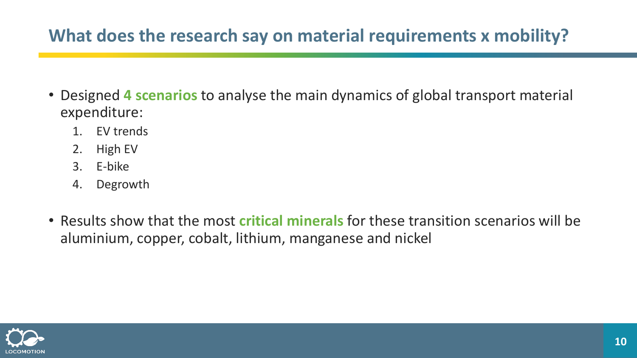#### **What does the research say on material requirements x mobility?**

- Designed **4 scenarios** to analyse the main dynamics of global transport material expenditure:
	- 1. EV trends
	- 2. High EV
	- 3. E-bike
	- 4. Degrowth
- Results show that the most **critical minerals** for these transition scenarios will be aluminium, copper, cobalt, lithium, manganese and nickel

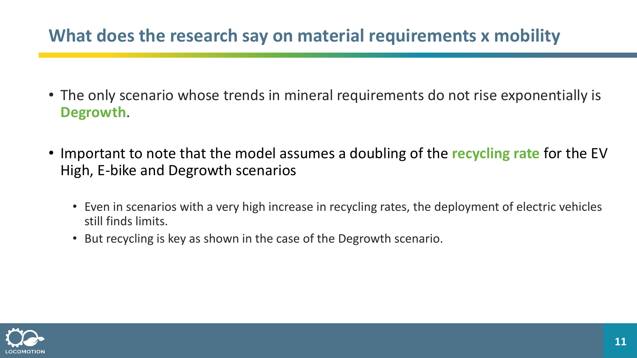#### **What does the research say on material requirements x mobility**

- The only scenario whose trends in mineral requirements do not rise exponentially is **Degrowth**.
- Important to note that the model assumes a doubling of the **recycling rate** for the EV High, E-bike and Degrowth scenarios
	- Even in scenarios with a very high increase in recycling rates, the deployment of electric vehicles still finds limits.
	- But recycling is key as shown in the case of the Degrowth scenario.

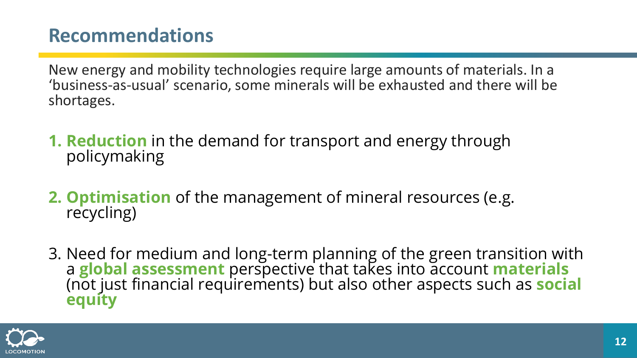#### **Recommendations**

New energy and mobility technologies require large amounts of materials. In a 'business-as-usual' scenario, some minerals will be exhausted and there will be shortages.

- **1. Reduction** in the demand for transport and energy through policymaking
- **2. Optimisation** of the management of mineral resources (e.g. recycling)
- 3. Need for medium and long-term planning of the green transition with a **global assessment** perspective that takes into account **materials** (not just financial requirements) but also other aspects such as **social equity**

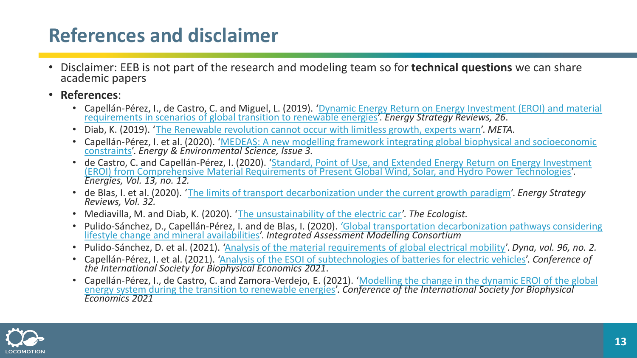#### **References and disclaimer**

- Disclaimer: EEB is not part of the research and modeling team so for **technical questions** we can share academic papers
- **References**:
	- Capellán-Pérez, I., de Castro, C. and Miguel, L. (2019). 'Dynamic Energy Return on Energy Investment (EROI) and material requirements in scenarios of global transition to renewable energies'. *Energy Strategy Reviews, 26*.
	- Diab, K. (2019). '[The Renewable revolution cannot occur with limitless growth, experts warn](https://meta.eeb.org/2019/12/03/the-renewable-revolution-cannot-occur-with-limitless-growth-experts-warn/)'. *META*.
	- Capellán-Pérez, I. et al. (2020). '[MEDEAS: A new modelling framework integrating global biophysical and socioeconomic](https://pubs.rsc.org/en/content/articlelanding/2020/EE/C9EE02627D)  constraints'. *Energy & Environmental Science, Issue 3.*
	- de Castro, C. and Capellán-Pérez, I. (2020). 'Standard, Point of Use, and Extended Energy Return on Energy Investment [\(EROI\) from Comprehensive Material Requirements of Present Global Wind, Solar, and Hydro Power Technologies](https://www.mdpi.com/1996-1073/13/12/3036)'. *Energies, Vol. 13, no. 12.*
	- de Blas, I. et al. (2020). '[The limits of transport decarbonization under the current growth paradigm](https://linkinghub.elsevier.com/retrieve/pii/S2211467X20300961)'. *Energy Strategy Reviews, Vol. 32.*
	- Mediavilla, M. and Diab, K. (2020). '[The unsustainability of the electric car](https://www.locomotion-h2020.eu/the-unsustainability-of-the-electric-car-2/)'. *The Ecologist.*
	- Pulido-Sánchez, D., Capellán-Pérez, I. and de Blas, I. (2020). *['Global transportation decarbonization pathways considering](https://www.researchgate.net/publication/349502751_Global_transportation_decarbonization_pathways_considering_lifestyle_change_and_mineral_availabilities)* lifestyle change and mineral availabilities'. *Integrated Assessment Modelling Consortium*
	- Pulido-Sánchez, D. et al. (2021). '[Analysis of the material requirements of global electrical mobility](https://doi.org/10.6036/9893)'. *Dyna, vol. 96, no. 2.*
	- Capellán-Pérez, I. et al. (2021). '[Analysis of the ESOI of subtechnologies](https://www.researchgate.net/publication/354687307_Analysis_of_the_ESOI_of_subtechnologies_of_batteries_for_electric_vehicles) of batteries for electric vehicles'. *Conference of the International Society for Biophysical Economics 2021*.
	- Capellán-Pérez, I., de Castro, C. and Zamora-Verdejo, E. (2021). 'Modelling the change in the dynamic EROI of the global [energy system during the transition to renewable energies](https://www.researchgate.net/publication/354687363_Modelling_the_change_in_the_dynamic_EROI_of_the_global_energy_system_during_the_transition_to_renewable_energies)'. *Conference of the International Society for Biophysical Economics 2021*